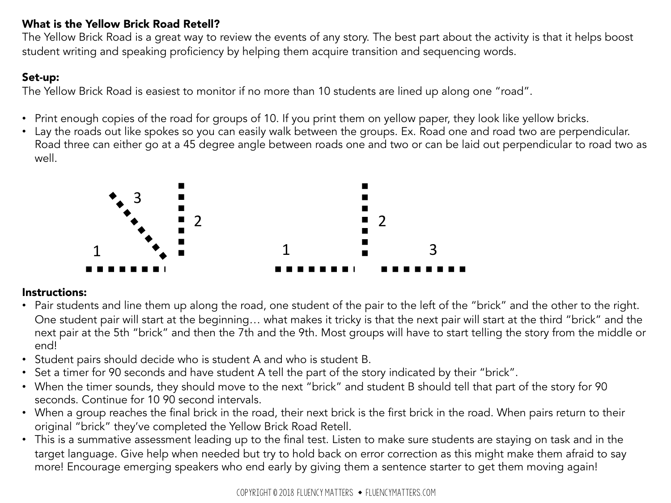### What is the Yellow Brick Road Retell?

The Yellow Brick Road is a great way to review the events of any story. The best part about the activity is that it helps boost student writing and speaking proficiency by helping them acquire transition and sequencing words.

### Set-up:

The Yellow Brick Road is easiest to monitor if no more than 10 students are lined up along one "road".

- Print enough copies of the road for groups of 10. If you print them on yellow paper, they look like yellow bricks.
- Lay the roads out like spokes so you can easily walk between the groups. Ex. Road one and road two are perpendicular. Road three can either go at a 45 degree angle between roads one and two or can be laid out perpendicular to road two as well.



### Instructions:

- Pair students and line them up along the road, one student of the pair to the left of the "brick" and the other to the right. One student pair will start at the beginning… what makes it tricky is that the next pair will start at the third "brick" and the next pair at the 5th "brick" and then the 7th and the 9th. Most groups will have to start telling the story from the middle or end!
- Student pairs should decide who is student A and who is student B.
- Set a timer for 90 seconds and have student A tell the part of the story indicated by their "brick".
- When the timer sounds, they should move to the next "brick" and student B should tell that part of the story for 90 seconds. Continue for 10 90 second intervals.
- When a group reaches the final brick in the road, their next brick is the first brick in the road. When pairs return to their original "brick" they've completed the Yellow Brick Road Retell.
- This is a summative assessment leading up to the final test. Listen to make sure students are staying on task and in the target language. Give help when needed but try to hold back on error correction as this might make them afraid to say more! Encourage emerging speakers who end early by giving them a sentence starter to get them moving again!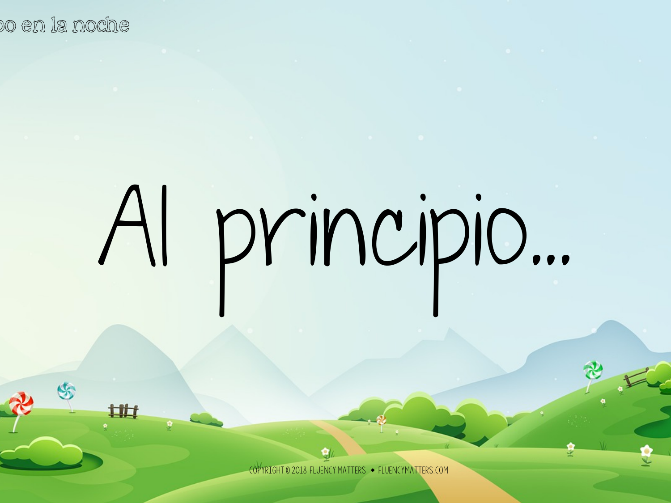S

山村

# Al principio...

 $ENCYMATTFRS$   $\rightarrow$  FLUENCYMATTERS COM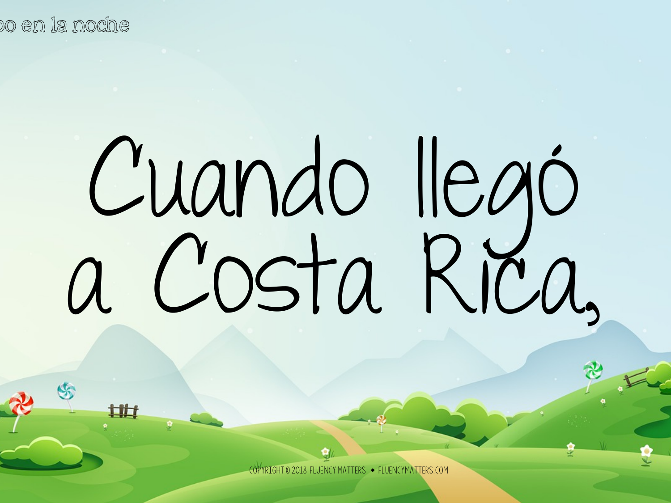## Cuando llegó a Costa Rica,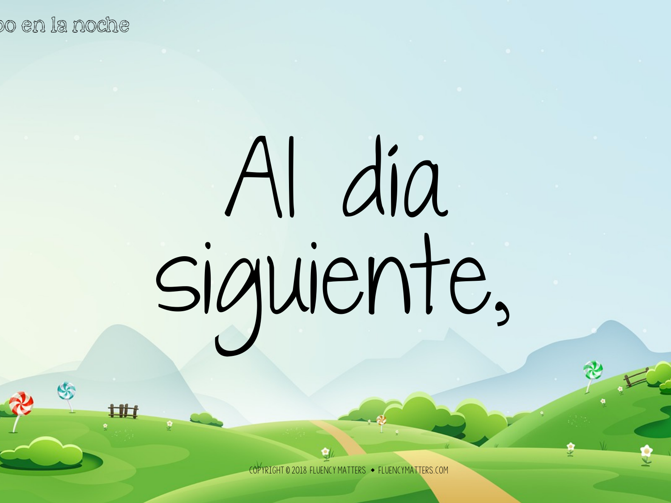S

山村

# Al día siguiente,

 $\tt ATTFRS \to FIUFNCYMATTFRS$  (OM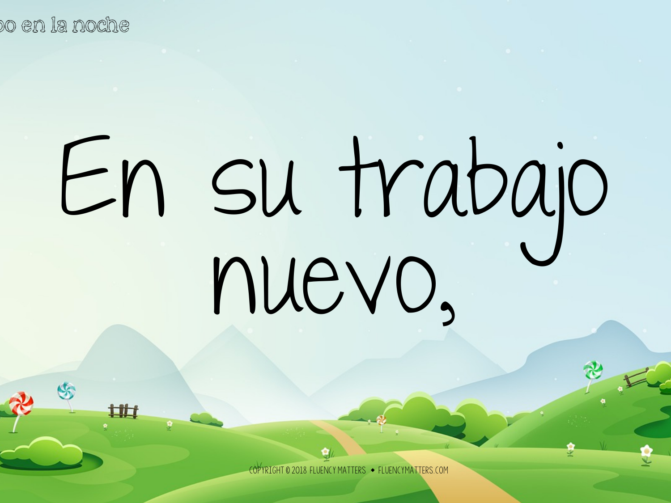山村

## En su trabajo nuevo,

 $MATTFRS \rightarrow FIUFNCYMATTFRS$  COM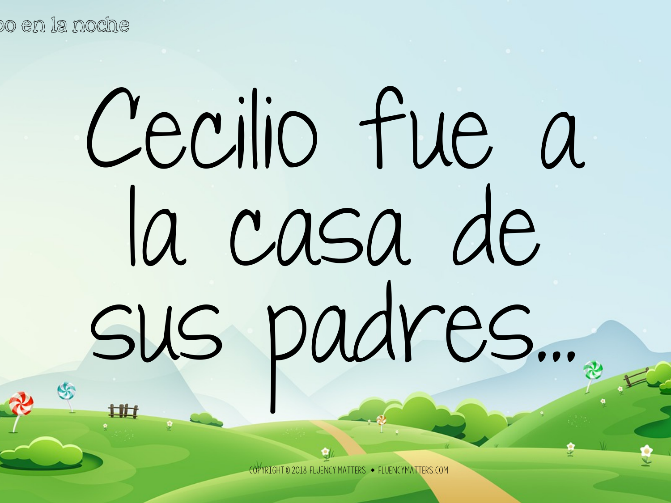## Cecilio fue a la casa de sus padres…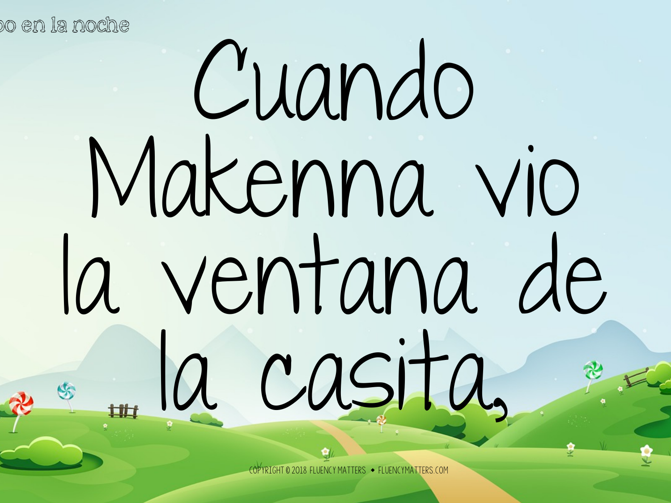## Cuando Makenna vio la ventana de la casita,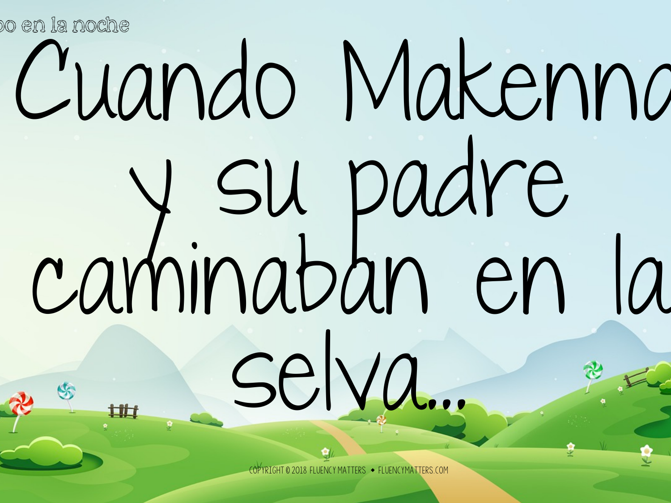### Cuando Makenna y su padre caminaban en la selva...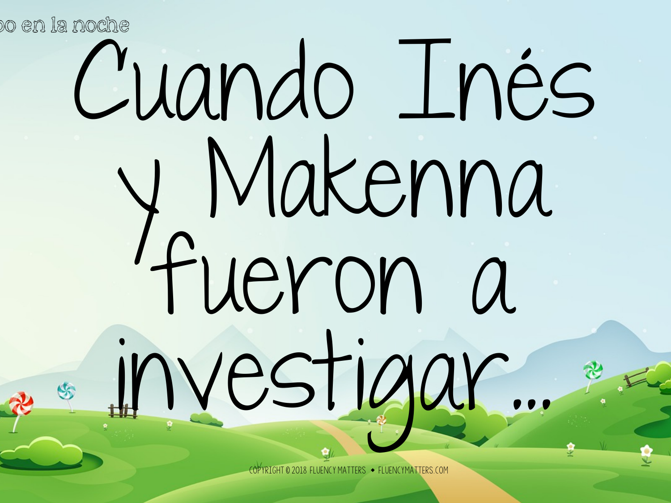## Cuando Inés y Makenna fueron a investigar...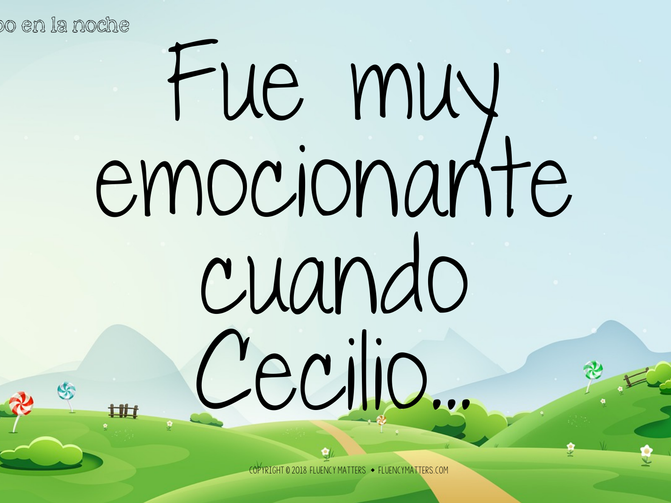### Fue muy emocionante cuando Cecilio...

 $\mathrm{J}$ CYMATTERS  $\;\blacklozenge\;$  FLUENCYMATTERS.COM